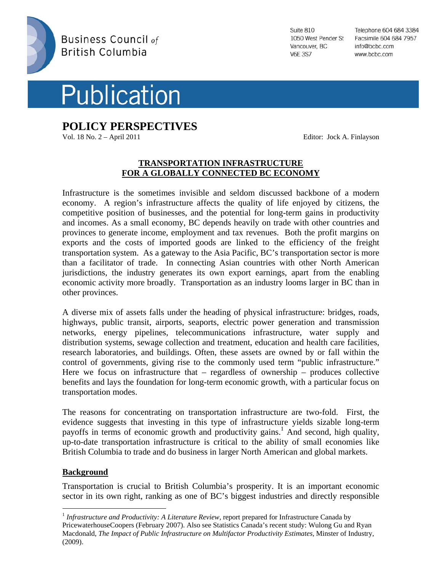



**POLICY PERSPECTIVES** 

Vol. 18 No. 2 – April 2011 Editor: Jock A. Finlayson

Suite 810 1050 West Pender St Vancouver, BC **V6E 3S7** 

Telephone 604 684 3384 Facsimile 604 684 7957 info@bcbc.com www.bcbc.com

# **TRANSPORTATION INFRASTRUCTURE FOR A GLOBALLY CONNECTED BC ECONOMY**

Infrastructure is the sometimes invisible and seldom discussed backbone of a modern economy. A region's infrastructure affects the quality of life enjoyed by citizens, the competitive position of businesses, and the potential for long-term gains in productivity and incomes. As a small economy, BC depends heavily on trade with other countries and provinces to generate income, employment and tax revenues. Both the profit margins on exports and the costs of imported goods are linked to the efficiency of the freight transportation system. As a gateway to the Asia Pacific, BC's transportation sector is more than a facilitator of trade. In connecting Asian countries with other North American jurisdictions, the industry generates its own export earnings, apart from the enabling economic activity more broadly. Transportation as an industry looms larger in BC than in other provinces.

A diverse mix of assets falls under the heading of physical infrastructure: bridges, roads, highways, public transit, airports, seaports, electric power generation and transmission networks, energy pipelines, telecommunications infrastructure, water supply and distribution systems, sewage collection and treatment, education and health care facilities, research laboratories, and buildings. Often, these assets are owned by or fall within the control of governments, giving rise to the commonly used term "public infrastructure." Here we focus on infrastructure that  $-$  regardless of ownership  $-$  produces collective benefits and lays the foundation for long-term economic growth, with a particular focus on transportation modes.

The reasons for concentrating on transportation infrastructure are two-fold. First, the evidence suggests that investing in this type of infrastructure yields sizable long-term payoffs in terms of economic growth and productivity gains.<sup>1</sup> And second, high quality, up-to-date transportation infrastructure is critical to the ability of small economies like British Columbia to trade and do business in larger North American and global markets.

## **Background**

 $\overline{a}$ 

Transportation is crucial to British Columbia's prosperity. It is an important economic sector in its own right, ranking as one of BC's biggest industries and directly responsible

<sup>1</sup> *Infrastructure and Productivity: A Literature Review*, report prepared for Infrastructure Canada by PricewaterhouseCoopers (February 2007). Also see Statistics Canada's recent study: Wulong Gu and Ryan Macdonald, *The Impact of Public Infrastructure on Multifactor Productivity Estimates,* Minster of Industry, (2009).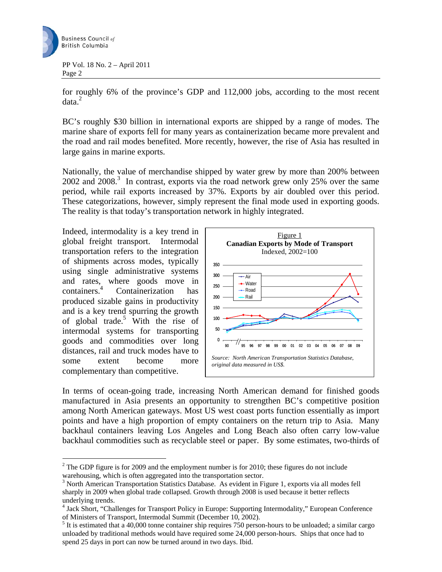

for roughly 6% of the province's GDP and 112,000 jobs, according to the most recent  $data.<sup>2</sup>$ 

BC's roughly \$30 billion in international exports are shipped by a range of modes. The marine share of exports fell for many years as containerization became more prevalent and the road and rail modes benefited. More recently, however, the rise of Asia has resulted in large gains in marine exports.

Nationally, the value of merchandise shipped by water grew by more than 200% between 2002 and 2008.<sup>3</sup> In contrast, exports via the road network grew only 25% over the same period, while rail exports increased by 37%. Exports by air doubled over this period. These categorizations, however, simply represent the final mode used in exporting goods. The reality is that today's transportation network in highly integrated.

Indeed, intermodality is a key trend in global freight transport. Intermodal transportation refers to the integration of shipments across modes, typically using single administrative systems and rates, where goods move in containers.<sup>4</sup> Containerization has produced sizable gains in productivity and is a key trend spurring the growth of global trade.5 With the rise of intermodal systems for transporting goods and commodities over long distances, rail and truck modes have to some extent become more complementary than competitive.

 $\overline{a}$ 



In terms of ocean-going trade, increasing North American demand for finished goods manufactured in Asia presents an opportunity to strengthen BC's competitive position among North American gateways. Most US west coast ports function essentially as import points and have a high proportion of empty containers on the return trip to Asia. Many backhaul containers leaving Los Angeles and Long Beach also often carry low-value backhaul commodities such as recyclable steel or paper. By some estimates, two-thirds of

 $2^2$  The GDP figure is for 2009 and the employment number is for 2010; these figures do not include warehousing, which is often aggregated into the transportation sector.

<sup>&</sup>lt;sup>3</sup> North American Transportation Statistics Database. As evident in Figure 1, exports via all modes fell sharply in 2009 when global trade collapsed. Growth through 2008 is used because it better reflects underlying trends.

<sup>&</sup>lt;sup>4</sup> Jack Short, "Challenges for Transport Policy in Europe: Supporting Intermodality," European Conference of Ministers of Transport, Intermodal Summit (December 10, 2002).

 $<sup>5</sup>$  It is estimated that a 40,000 tonne container ship requires 750 person-hours to be unloaded; a similar cargo</sup> unloaded by traditional methods would have required some 24,000 person-hours. Ships that once had to spend 25 days in port can now be turned around in two days. Ibid.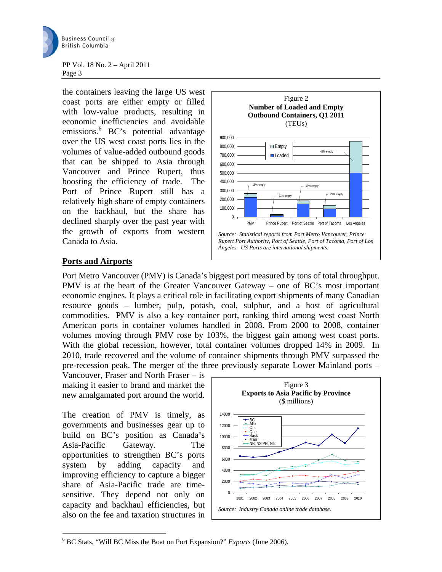

the containers leaving the large US west coast ports are either empty or filled with low-value products, resulting in economic inefficiencies and avoidable emissions.<sup>6</sup> BC's potential advantage over the US west coast ports lies in the volumes of value-added outbound goods that can be shipped to Asia through Vancouver and Prince Rupert, thus boosting the efficiency of trade. The Port of Prince Rupert still has a relatively high share of empty containers on the backhaul, but the share has declined sharply over the past year with the growth of exports from western Canada to Asia.



## **Ports and Airports**

Port Metro Vancouver (PMV) is Canada's biggest port measured by tons of total throughput. PMV is at the heart of the Greater Vancouver Gateway – one of BC's most important economic engines. It plays a critical role in facilitating export shipments of many Canadian resource goods – lumber, pulp, potash, coal, sulphur, and a host of agricultural commodities. PMV is also a key container port, ranking third among west coast North American ports in container volumes handled in 2008. From 2000 to 2008, container volumes moving through PMV rose by 103%, the biggest gain among west coast ports. With the global recession, however, total container volumes dropped 14% in 2009. In 2010, trade recovered and the volume of container shipments through PMV surpassed the pre-recession peak. The merger of the three previously separate Lower Mainland ports –

Vancouver, Fraser and North Fraser – is making it easier to brand and market the new amalgamated port around the world.

The creation of PMV is timely, as governments and businesses gear up to build on BC's position as Canada's Asia-Pacific Gateway. The opportunities to strengthen BC's ports system by adding capacity and improving efficiency to capture a bigger share of Asia-Pacific trade are timesensitive. They depend not only on capacity and backhaul efficiencies, but also on the fee and taxation structures in

 $\overline{a}$ 



<sup>6</sup> BC Stats, "Will BC Miss the Boat on Port Expansion?" *Exports* (June 2006).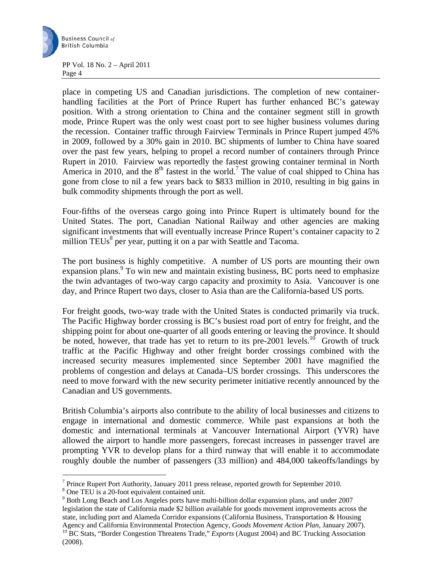

place in competing US and Canadian jurisdictions. The completion of new containerhandling facilities at the Port of Prince Rupert has further enhanced BC's gateway position. With a strong orientation to China and the container segment still in growth mode, Prince Rupert was the only west coast port to see higher business volumes during the recession. Container traffic through Fairview Terminals in Prince Rupert jumped 45% in 2009, followed by a 30% gain in 2010. BC shipments of lumber to China have soared over the past few years, helping to propel a record number of containers through Prince Rupert in 2010. Fairview was reportedly the fastest growing container terminal in North America in 2010, and the  $8<sup>th</sup>$  fastest in the world.<sup>7</sup> The value of coal shipped to China has gone from close to nil a few years back to \$833 million in 2010, resulting in big gains in bulk commodity shipments through the port as well.

Four-fifths of the overseas cargo going into Prince Rupert is ultimately bound for the United States. The port, Canadian National Railway and other agencies are making significant investments that will eventually increase Prince Rupert's container capacity to 2 million TEUs $<sup>8</sup>$  per year, putting it on a par with Seattle and Tacoma.</sup>

The port business is highly competitive. A number of US ports are mounting their own expansion plans.<sup>9</sup> To win new and maintain existing business, BC ports need to emphasize the twin advantages of two-way cargo capacity and proximity to Asia. Vancouver is one day, and Prince Rupert two days, closer to Asia than are the California-based US ports.

For freight goods, two-way trade with the United States is conducted primarily via truck. The Pacific Highway border crossing is BC's busiest road port of entry for freight, and the shipping point for about one-quarter of all goods entering or leaving the province. It should be noted, however, that trade has yet to return to its pre-2001 levels.<sup>10</sup> Growth of truck traffic at the Pacific Highway and other freight border crossings combined with the increased security measures implemented since September 2001 have magnified the problems of congestion and delays at Canada–US border crossings. This underscores the need to move forward with the new security perimeter initiative recently announced by the Canadian and US governments.

British Columbia's airports also contribute to the ability of local businesses and citizens to engage in international and domestic commerce. While past expansions at both the domestic and international terminals at Vancouver International Airport (YVR) have allowed the airport to handle more passengers, forecast increases in passenger travel are prompting YVR to develop plans for a third runway that will enable it to accommodate roughly double the number of passengers (33 million) and 484,000 takeoffs/landings by

 $\overline{a}$ 

<sup>9</sup> Both Long Beach and Los Angeles ports have multi-billion dollar expansion plans, and under 2007 legislation the state of California made \$2 billion available for goods movement improvements across the state, including port and Alameda Corridor expansions (California Business, Transportation & Housing

<sup>&</sup>lt;sup>7</sup> Prince Rupert Port Authority, January 2011 press release, reported growth for September 2010.

<sup>8</sup> One TEU is a 20-foot equivalent contained unit.

Agency and California Environmental Protection Agency, *Goods Movement Action Plan*, January 2007). <sup>10</sup> BC Stats, "Border Congestion Threatens Trade," *Exports* (August 2004) and BC Trucking Association (2008).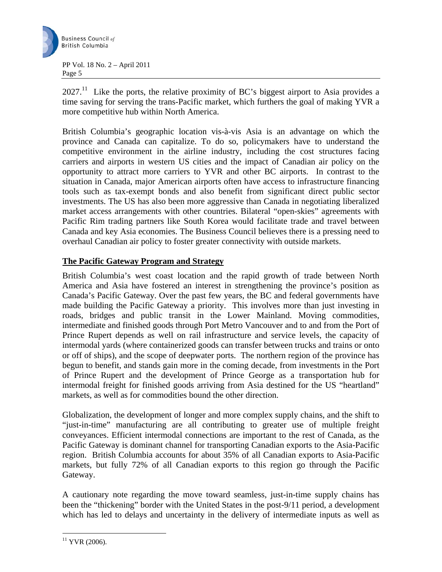

 $2027<sup>11</sup>$  Like the ports, the relative proximity of BC's biggest airport to Asia provides a time saving for serving the trans-Pacific market, which furthers the goal of making YVR a more competitive hub within North America.

British Columbia's geographic location vis-à-vis Asia is an advantage on which the province and Canada can capitalize. To do so, policymakers have to understand the competitive environment in the airline industry, including the cost structures facing carriers and airports in western US cities and the impact of Canadian air policy on the opportunity to attract more carriers to YVR and other BC airports. In contrast to the situation in Canada, major American airports often have access to infrastructure financing tools such as tax-exempt bonds and also benefit from significant direct public sector investments. The US has also been more aggressive than Canada in negotiating liberalized market access arrangements with other countries. Bilateral "open-skies" agreements with Pacific Rim trading partners like South Korea would facilitate trade and travel between Canada and key Asia economies. The Business Council believes there is a pressing need to overhaul Canadian air policy to foster greater connectivity with outside markets.

## **The Pacific Gateway Program and Strategy**

British Columbia's west coast location and the rapid growth of trade between North America and Asia have fostered an interest in strengthening the province's position as Canada's Pacific Gateway. Over the past few years, the BC and federal governments have made building the Pacific Gateway a priority. This involves more than just investing in roads, bridges and public transit in the Lower Mainland. Moving commodities, intermediate and finished goods through Port Metro Vancouver and to and from the Port of Prince Rupert depends as well on rail infrastructure and service levels, the capacity of intermodal yards (where containerized goods can transfer between trucks and trains or onto or off of ships), and the scope of deepwater ports. The northern region of the province has begun to benefit, and stands gain more in the coming decade, from investments in the Port of Prince Rupert and the development of Prince George as a transportation hub for intermodal freight for finished goods arriving from Asia destined for the US "heartland" markets, as well as for commodities bound the other direction.

Globalization, the development of longer and more complex supply chains, and the shift to "just-in-time" manufacturing are all contributing to greater use of multiple freight conveyances. Efficient intermodal connections are important to the rest of Canada, as the Pacific Gateway is dominant channel for transporting Canadian exports to the Asia-Pacific region. British Columbia accounts for about 35% of all Canadian exports to Asia-Pacific markets, but fully 72% of all Canadian exports to this region go through the Pacific Gateway.

A cautionary note regarding the move toward seamless, just-in-time supply chains has been the "thickening" border with the United States in the post-9/11 period, a development which has led to delays and uncertainty in the delivery of intermediate inputs as well as

 $\overline{a}$  $11$  YVR (2006).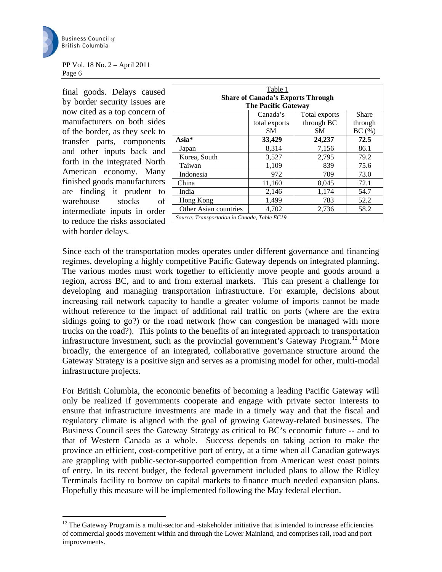

 $\overline{a}$ 

#### PP Vol. 18 No. 2 – April 2011 Page 6

final goods. Delays caused by border security issues are now cited as a top concern of manufacturers on both sides of the border, as they seek to transfer parts, components and other inputs back and forth in the integrated North American economy. Many finished goods manufacturers are finding it prudent to warehouse stocks of intermediate inputs in order to reduce the risks associated with border delays.

| Table 1                                       |               |               |         |
|-----------------------------------------------|---------------|---------------|---------|
| <b>Share of Canada's Exports Through</b>      |               |               |         |
| <b>The Pacific Gateway</b>                    |               |               |         |
|                                               | Canada's      | Total exports | Share   |
|                                               | total exports | through BC    | through |
|                                               | \$M           | \$M           | BC(%)   |
| $Asia*$                                       | 33,429        | 24,237        | 72.5    |
| Japan                                         | 8,314         | 7,156         | 86.1    |
| Korea, South                                  | 3,527         | 2,795         | 79.2    |
| Taiwan                                        | 1,109         | 839           | 75.6    |
| Indonesia                                     | 972           | 709           | 73.0    |
| China                                         | 11,160        | 8,045         | 72.1    |
| India                                         | 2,146         | 1,174         | 54.7    |
| Hong Kong                                     | 1,499         | 783           | 52.2    |
| Other Asian countries                         | 4,702         | 2,736         | 58.2    |
| Source: Transportation in Canada, Table EC19. |               |               |         |

Since each of the transportation modes operates under different governance and financing regimes, developing a highly competitive Pacific Gateway depends on integrated planning. The various modes must work together to efficiently move people and goods around a region, across BC, and to and from external markets. This can present a challenge for developing and managing transportation infrastructure. For example, decisions about increasing rail network capacity to handle a greater volume of imports cannot be made without reference to the impact of additional rail traffic on ports (where are the extra sidings going to go?) or the road network (how can congestion be managed with more trucks on the road?). This points to the benefits of an integrated approach to transportation infrastructure investment, such as the provincial government's Gateway Program.<sup>12</sup> More broadly, the emergence of an integrated, collaborative governance structure around the Gateway Strategy is a positive sign and serves as a promising model for other, multi-modal infrastructure projects.

For British Columbia, the economic benefits of becoming a leading Pacific Gateway will only be realized if governments cooperate and engage with private sector interests to ensure that infrastructure investments are made in a timely way and that the fiscal and regulatory climate is aligned with the goal of growing Gateway-related businesses. The Business Council sees the Gateway Strategy as critical to BC's economic future -- and to that of Western Canada as a whole. Success depends on taking action to make the province an efficient, cost-competitive port of entry, at a time when all Canadian gateways are grappling with public-sector-supported competition from American west coast points of entry. In its recent budget, the federal government included plans to allow the Ridley Terminals facility to borrow on capital markets to finance much needed expansion plans. Hopefully this measure will be implemented following the May federal election.

<sup>&</sup>lt;sup>12</sup> The Gateway Program is a multi-sector and -stakeholder initiative that is intended to increase efficiencies of commercial goods movement within and through the Lower Mainland, and comprises rail, road and port improvements.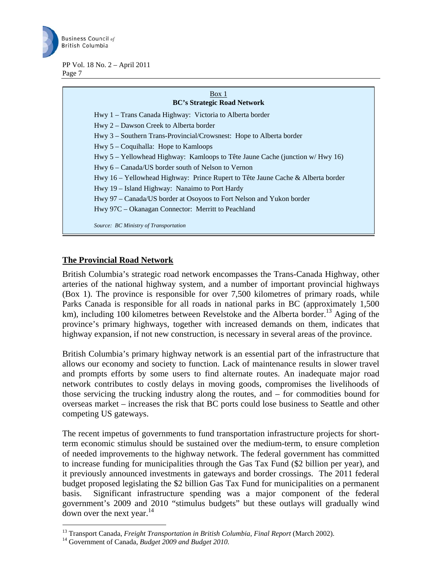

## Box 1 **BC's Strategic Road Network**  Hwy 1 – Trans Canada Highway: Victoria to Alberta border Hwy 2 – Dawson Creek to Alberta border Hwy 3 – Southern Trans-Provincial/Crowsnest: Hope to Alberta border Hwy 5 – Coquihalla: Hope to Kamloops Hwy 5 – Yellowhead Highway: Kamloops to Tête Jaune Cache (junction w/ Hwy 16) Hwy 6 – Canada/US border south of Nelson to Vernon Hwy 16 – Yellowhead Highway: Prince Rupert to Tête Jaune Cache & Alberta border Hwy 19 – Island Highway: Nanaimo to Port Hardy Hwy 97 – Canada/US border at Osoyoos to Fort Nelson and Yukon border Hwy 97C – Okanagan Connector: Merritt to Peachland *Source: BC Ministry of Transportation*

## **The Provincial Road Network**

British Columbia's strategic road network encompasses the Trans-Canada Highway, other arteries of the national highway system, and a number of important provincial highways (Box 1). The province is responsible for over 7,500 kilometres of primary roads, while Parks Canada is responsible for all roads in national parks in BC (approximately 1,500 km), including 100 kilometres between Revelstoke and the Alberta border.<sup>13</sup> Aging of the province's primary highways, together with increased demands on them, indicates that highway expansion, if not new construction, is necessary in several areas of the province.

British Columbia's primary highway network is an essential part of the infrastructure that allows our economy and society to function. Lack of maintenance results in slower travel and prompts efforts by some users to find alternate routes. An inadequate major road network contributes to costly delays in moving goods, compromises the livelihoods of those servicing the trucking industry along the routes, and – for commodities bound for overseas market – increases the risk that BC ports could lose business to Seattle and other competing US gateways.

The recent impetus of governments to fund transportation infrastructure projects for shortterm economic stimulus should be sustained over the medium-term, to ensure completion of needed improvements to the highway network. The federal government has committed to increase funding for municipalities through the Gas Tax Fund (\$2 billion per year), and it previously announced investments in gateways and border crossings. The 2011 federal budget proposed legislating the \$2 billion Gas Tax Fund for municipalities on a permanent basis. Significant infrastructure spending was a major component of the federal government's 2009 and 2010 "stimulus budgets" but these outlays will gradually wind down over the next year.<sup>14</sup>

 $\overline{a}$ 

<sup>&</sup>lt;sup>13</sup> Transport Canada, *Freight Transportation in British Columbia, Final Report* (March 2002).<sup>14</sup> Government of Canada, *Budget 2009 and Budget 2010*.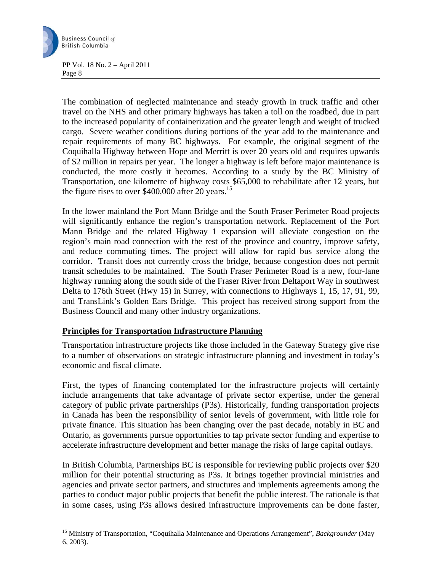

 $\overline{a}$ 

PP Vol. 18 No. 2 – April 2011 Page 8

The combination of neglected maintenance and steady growth in truck traffic and other travel on the NHS and other primary highways has taken a toll on the roadbed, due in part to the increased popularity of containerization and the greater length and weight of trucked cargo. Severe weather conditions during portions of the year add to the maintenance and repair requirements of many BC highways. For example, the original segment of the Coquihalla Highway between Hope and Merritt is over 20 years old and requires upwards of \$2 million in repairs per year. The longer a highway is left before major maintenance is conducted, the more costly it becomes. According to a study by the BC Ministry of Transportation, one kilometre of highway costs \$65,000 to rehabilitate after 12 years, but the figure rises to over \$400,000 after 20 years.<sup>15</sup>

In the lower mainland the Port Mann Bridge and the South Fraser Perimeter Road projects will significantly enhance the region's transportation network. Replacement of the Port Mann Bridge and the related Highway 1 expansion will alleviate congestion on the region's main road connection with the rest of the province and country, improve safety, and reduce commuting times. The project will allow for rapid bus service along the corridor. Transit does not currently cross the bridge, because congestion does not permit transit schedules to be maintained. The South Fraser Perimeter Road is a new, four-lane highway running along the south side of the Fraser River from Deltaport Way in southwest Delta to 176th Street (Hwy 15) in Surrey, with connections to Highways 1, 15, 17, 91, 99, and TransLink's Golden Ears Bridge. This project has received strong support from the Business Council and many other industry organizations.

## **Principles for Transportation Infrastructure Planning**

Transportation infrastructure projects like those included in the Gateway Strategy give rise to a number of observations on strategic infrastructure planning and investment in today's economic and fiscal climate.

First, the types of financing contemplated for the infrastructure projects will certainly include arrangements that take advantage of private sector expertise, under the general category of public private partnerships (P3s). Historically, funding transportation projects in Canada has been the responsibility of senior levels of government, with little role for private finance. This situation has been changing over the past decade, notably in BC and Ontario, as governments pursue opportunities to tap private sector funding and expertise to accelerate infrastructure development and better manage the risks of large capital outlays.

In British Columbia, Partnerships BC is responsible for reviewing public projects over \$20 million for their potential structuring as P3s. It brings together provincial ministries and agencies and private sector partners, and structures and implements agreements among the parties to conduct major public projects that benefit the public interest. The rationale is that in some cases, using P3s allows desired infrastructure improvements can be done faster,

<sup>15</sup> Ministry of Transportation, "Coquihalla Maintenance and Operations Arrangement", *Backgrounder* (May 6, 2003).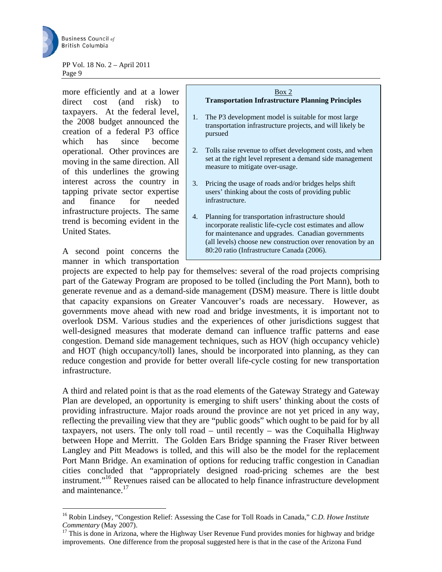

more efficiently and at a lower direct cost (and risk) to taxpayers. At the federal level, the 2008 budget announced the creation of a federal P3 office which has since become operational. Other provinces are moving in the same direction. All of this underlines the growing interest across the country in tapping private sector expertise and finance for needed infrastructure projects. The same trend is becoming evident in the United States.

A second point concerns the manner in which transportation

 $\overline{a}$ 

## Box 2 **Transportation Infrastructure Planning Principles**  1. The P3 development model is suitable for most large transportation infrastructure projects, and will likely be pursued 2. Tolls raise revenue to offset development costs, and when set at the right level represent a demand side management measure to mitigate over-usage. 3. Pricing the usage of roads and/or bridges helps shift users' thinking about the costs of providing public infrastructure. 4. Planning for transportation infrastructure should incorporate realistic life-cycle cost estimates and allow

for maintenance and upgrades. Canadian governments (all levels) choose new construction over renovation by an 80:20 ratio (Infrastructure Canada (2006).

projects are expected to help pay for themselves: several of the road projects comprising part of the Gateway Program are proposed to be tolled (including the Port Mann), both to generate revenue and as a demand-side management (DSM) measure. There is little doubt that capacity expansions on Greater Vancouver's roads are necessary. However, as governments move ahead with new road and bridge investments, it is important not to overlook DSM. Various studies and the experiences of other jurisdictions suggest that well-designed measures that moderate demand can influence traffic patterns and ease congestion. Demand side management techniques, such as HOV (high occupancy vehicle) and HOT (high occupancy/toll) lanes, should be incorporated into planning, as they can reduce congestion and provide for better overall life-cycle costing for new transportation infrastructure.

A third and related point is that as the road elements of the Gateway Strategy and Gateway Plan are developed, an opportunity is emerging to shift users' thinking about the costs of providing infrastructure. Major roads around the province are not yet priced in any way, reflecting the prevailing view that they are "public goods" which ought to be paid for by all taxpayers, not users. The only toll road – until recently – was the Coquihalla Highway between Hope and Merritt. The Golden Ears Bridge spanning the Fraser River between Langley and Pitt Meadows is tolled, and this will also be the model for the replacement Port Mann Bridge. An examination of options for reducing traffic congestion in Canadian cities concluded that "appropriately designed road-pricing schemes are the best instrument."<sup>16</sup> Revenues raised can be allocated to help finance infrastructure development and maintenance.<sup>17</sup>

<sup>16</sup> Robin Lindsey, "Congestion Relief: Assessing the Case for Toll Roads in Canada," *C.D. Howe Institute Commentary* (May 2007).<br><sup>17</sup> This is done in Arizona, where the Highway User Revenue Fund provides monies for highway and bridge

improvements. One difference from the proposal suggested here is that in the case of the Arizona Fund